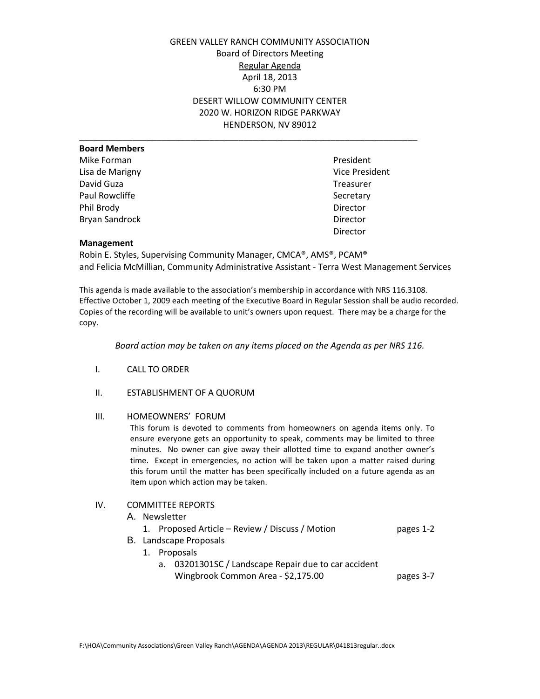GREEN VALLEY RANCH COMMUNITY ASSOCIATION Board of Directors Meeting Regular Agenda April 18, 2013 6:30 PM DESERT WILLOW COMMUNITY CENTER 2020 W. HORIZON RIDGE PARKWAY HENDERSON, NV 89012

| <b>Board Members</b>  |                |
|-----------------------|----------------|
| Mike Forman           | President      |
| Lisa de Marigny       | Vice President |
| David Guza            | Treasurer      |
| Paul Rowcliffe        | Secretary      |
| Phil Brody            | Director       |
| <b>Bryan Sandrock</b> | Director       |
|                       | Director       |
|                       |                |

### **Management**

Robin E. Styles, Supervising Community Manager, CMCA®, AMS®, PCAM® and Felicia McMillian, Community Administrative Assistant - Terra West Management Services

This agenda is made available to the association's membership in accordance with NRS 116.3108. Effective October 1, 2009 each meeting of the Executive Board in Regular Session shall be audio recorded. Copies of the recording will be available to unit's owners upon request. There may be a charge for the copy.

*Board action may be taken on any items placed on the Agenda as per NRS 116.*

- I. CALL TO ORDER
- II. ESTABLISHMENT OF A QUORUM

### III. HOMEOWNERS' FORUM

This forum is devoted to comments from homeowners on agenda items only. To ensure everyone gets an opportunity to speak, comments may be limited to three minutes. No owner can give away their allotted time to expand another owner's time. Except in emergencies, no action will be taken upon a matter raised during this forum until the matter has been specifically included on a future agenda as an item upon which action may be taken.

# IV. COMMITTEE REPORTS

A. Newsletter

|  | 1. Proposed Article – Review / Discuss / Motion | pages 1-2 |
|--|-------------------------------------------------|-----------|
|  | <b>B.</b> Landscape Proposals                   |           |

- 1. Proposals
	- a. 03201301SC / Landscape Repair due to car accident Wingbrook Common Area - \$2,175.00 pages 3-7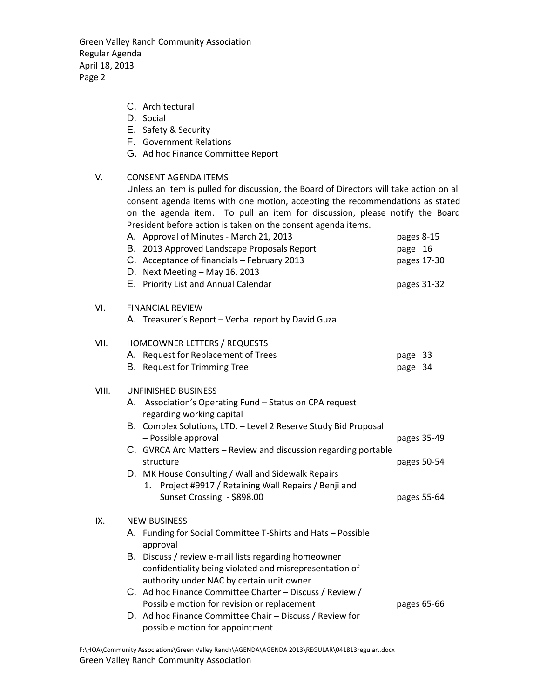Green Valley Ranch Community Association Regular Agenda April 18, 2013 Page 2

- C. Architectural
- D. Social
- E. Safety & Security
- F. Government Relations
- G. Ad hoc Finance Committee Report
- V. CONSENT AGENDA ITEMS

Unless an item is pulled for discussion, the Board of Directors will take action on all consent agenda items with one motion, accepting the recommendations as stated on the agenda item. To pull an item for discussion, please notify the Board President before action is taken on the consent agenda items.

|       | A. Approval of Minutes - March 21, 2013<br>B. 2013 Approved Landscape Proposals Report<br>C. Acceptance of financials - February 2013<br>D. Next Meeting - May 16, 2013<br>E. Priority List and Annual Calendar                                                                       | pages 8-15<br>page 16<br>pages 17-30<br>pages 31-32 |  |  |  |  |
|-------|---------------------------------------------------------------------------------------------------------------------------------------------------------------------------------------------------------------------------------------------------------------------------------------|-----------------------------------------------------|--|--|--|--|
| VI.   | <b>FINANCIAL REVIEW</b><br>A. Treasurer's Report - Verbal report by David Guza                                                                                                                                                                                                        |                                                     |  |  |  |  |
| VII.  | HOMEOWNER LETTERS / REQUESTS<br>A. Request for Replacement of Trees<br>B. Request for Trimming Tree                                                                                                                                                                                   | page 33<br>page 34                                  |  |  |  |  |
| VIII. | UNFINISHED BUSINESS<br>A. Association's Operating Fund - Status on CPA request<br>regarding working capital<br>B. Complex Solutions, LTD. - Level 2 Reserve Study Bid Proposal<br>- Possible approval<br>C. GVRCA Arc Matters - Review and discussion regarding portable<br>structure | pages 35-49<br>pages 50-54                          |  |  |  |  |
|       | D. MK House Consulting / Wall and Sidewalk Repairs<br>Project #9917 / Retaining Wall Repairs / Benji and<br>1.<br>Sunset Crossing - \$898.00                                                                                                                                          | pages 55-64                                         |  |  |  |  |
| IX.   | <b>NEW BUSINESS</b>                                                                                                                                                                                                                                                                   |                                                     |  |  |  |  |
|       | A. Funding for Social Committee T-Shirts and Hats - Possible<br>approval                                                                                                                                                                                                              |                                                     |  |  |  |  |
|       | B. Discuss / review e-mail lists regarding homeowner<br>confidentiality being violated and misrepresentation of<br>authority under NAC by certain unit owner                                                                                                                          |                                                     |  |  |  |  |
|       | C. Ad hoc Finance Committee Charter - Discuss / Review /<br>Possible motion for revision or replacement                                                                                                                                                                               | pages 65-66                                         |  |  |  |  |
|       | D. Ad hoc Finance Committee Chair - Discuss / Review for<br>possible motion for appointment                                                                                                                                                                                           |                                                     |  |  |  |  |